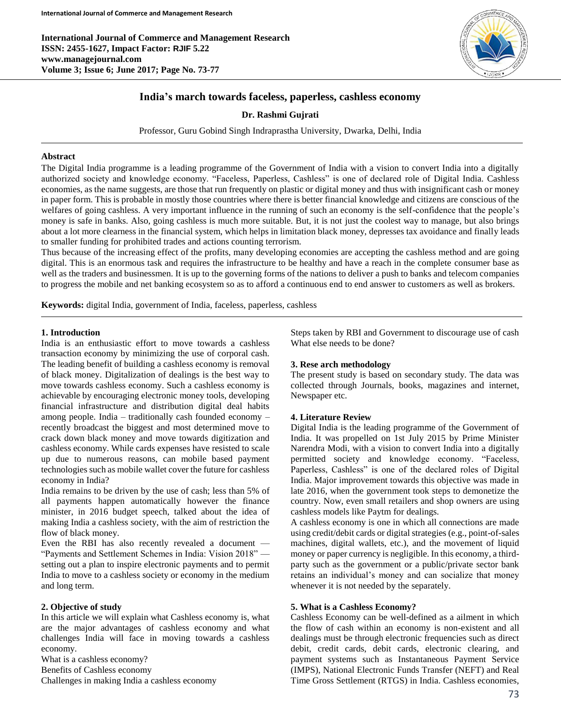**International Journal of Commerce and Management Research ISSN: 2455-1627, Impact Factor: RJIF 5.22 www.managejournal.com Volume 3; Issue 6; June 2017; Page No. 73-77**



# **India's march towards faceless, paperless, cashless economy**

**Dr. Rashmi Gujrati**

Professor, Guru Gobind Singh Indraprastha University, Dwarka, Delhi, India

#### **Abstract**

The Digital India programme is a leading programme of the Government of India with a vision to convert India into a digitally authorized society and knowledge economy. "Faceless, Paperless, Cashless" is one of declared role of Digital India. Cashless economies, as the name suggests, are those that run frequently on plastic or digital money and thus with insignificant cash or money in paper form. This is probable in mostly those countries where there is better financial knowledge and citizens are conscious of the welfares of going cashless. A very important influence in the running of such an economy is the self-confidence that the people's money is safe in banks. Also, going cashless is much more suitable. But, it is not just the coolest way to manage, but also brings about a lot more clearness in the financial system, which helps in limitation black money, depresses tax avoidance and finally leads to smaller funding for prohibited trades and actions counting terrorism.

Thus because of the increasing effect of the profits, many developing economies are accepting the cashless method and are going digital. This is an enormous task and requires the infrastructure to be healthy and have a reach in the complete consumer base as well as the traders and businessmen. It is up to the governing forms of the nations to deliver a push to banks and telecom companies to progress the mobile and net banking ecosystem so as to afford a continuous end to end answer to customers as well as brokers.

**Keywords:** digital India, government of India, faceless, paperless, cashless

### **1. Introduction**

India is an enthusiastic effort to move towards a cashless transaction economy by minimizing the use of corporal cash. The leading benefit of building a cashless economy is removal of black money. Digitalization of dealings is the best way to move towards cashless economy. Such a cashless economy is achievable by encouraging electronic money tools, developing financial infrastructure and distribution digital deal habits among people. India – traditionally cash founded economy – recently broadcast the biggest and most determined move to crack down black money and move towards digitization and cashless economy. While cards expenses have resisted to scale up due to numerous reasons, can mobile based payment technologies such as mobile wallet cover the future for cashless economy in India?

India remains to be driven by the use of cash; less than 5% of all payments happen automatically however the finance minister, in 2016 budget speech, talked about the idea of making India a cashless society, with the aim of restriction the flow of black money.

Even the RBI has also recently revealed a document — "Payments and Settlement Schemes in India: Vision 2018" setting out a plan to inspire electronic payments and to permit India to move to a cashless society or economy in the medium and long term.

#### **2. Objective of study**

In this article we will explain what Cashless economy is, what are the major advantages of cashless economy and what challenges India will face in moving towards a cashless economy.

What is a cashless economy? Benefits of Cashless economy Challenges in making India a cashless economy Steps taken by RBI and Government to discourage use of cash What else needs to be done?

#### **3. Rese arch methodology**

The present study is based on secondary study. The data was collected through Journals, books, magazines and internet, Newspaper etc.

#### **4. Literature Review**

Digital India is the leading programme of the Government of India. It was propelled on 1st July 2015 by Prime Minister Narendra Modi, with a vision to convert India into a digitally permitted society and knowledge economy. "Faceless, Paperless, Cashless" is one of the declared roles of Digital India. Major improvement towards this objective was made in late 2016, when the government took steps to demonetize the country. Now, even small retailers and shop owners are using cashless models like Paytm for dealings.

A cashless economy is one in which all connections are made using credit/debit cards or digital strategies (e.g., point-of-sales machines, digital wallets, etc.), and the movement of liquid money or paper currency is negligible. In this economy, a thirdparty such as the government or a public/private sector bank retains an individual's money and can socialize that money whenever it is not needed by the separately.

#### **5. What is a Cashless Economy?**

Cashless Economy can be well-defined as a ailment in which the flow of cash within an economy is non-existent and all dealings must be through electronic frequencies such as direct debit, credit cards, debit cards, electronic clearing, and payment systems such as Instantaneous Payment Service (IMPS), National Electronic Funds Transfer (NEFT) and Real Time Gross Settlement (RTGS) in India. Cashless economies,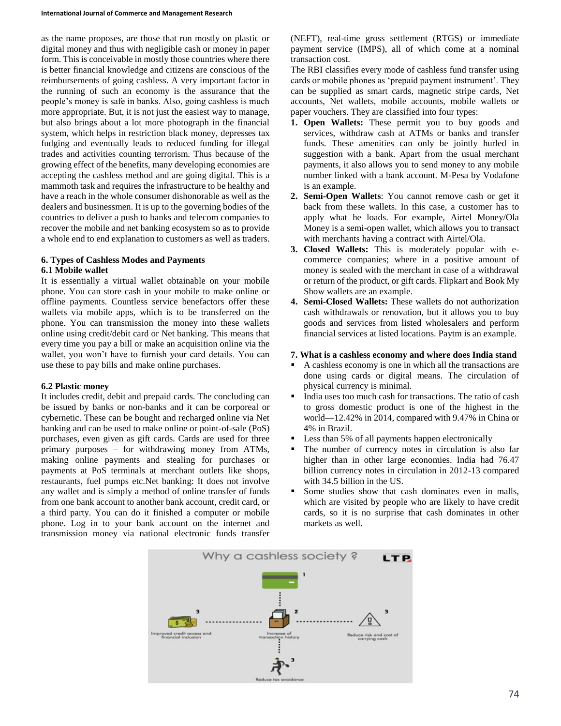as the name proposes, are those that run mostly on plastic or digital money and thus with negligible cash or money in paper form. This is conceivable in mostly those countries where there is better financial knowledge and citizens are conscious of the reimbursements of going cashless. A very important factor in the running of such an economy is the assurance that the people's money is safe in banks. Also, going cashless is much more appropriate. But, it is not just the easiest way to manage, but also brings about a lot more photograph in the financial system, which helps in restriction black money, depresses tax fudging and eventually leads to reduced funding for illegal trades and activities counting terrorism. Thus because of the growing effect of the benefits, many developing economies are accepting the cashless method and are going digital. This is a mammoth task and requires the infrastructure to be healthy and have a reach in the whole consumer dishonorable as well as the dealers and businessmen. It is up to the governing bodies of the countries to deliver a push to banks and telecom companies to recover the mobile and net banking ecosystem so as to provide a whole end to end explanation to customers as well as traders.

# **6. Types of Cashless Modes and Payments**

### **6.1 Mobile wallet**

It is essentially a virtual wallet obtainable on your mobile phone. You can store cash in your mobile to make online or offline payments. Countless service benefactors offer these wallets via mobile apps, which is to be transferred on the phone. You can transmission the money into these wallets online using credit/debit card or Net banking. This means that every time you pay a bill or make an acquisition online via the wallet, you won't have to furnish your card details. You can use these to pay bills and make online purchases.

## **6.2 Plastic money**

It includes credit, debit and prepaid cards. The concluding can be issued by banks or non-banks and it can be corporeal or cybernetic. These can be bought and recharged online via Net banking and can be used to make online or point-of-sale (PoS) purchases, even given as gift cards. Cards are used for three primary purposes – for withdrawing money from ATMs, making online payments and stealing for purchases or payments at PoS terminals at merchant outlets like shops, restaurants, fuel pumps etc.Net banking: It does not involve any wallet and is simply a method of online transfer of funds from one bank account to another bank account, credit card, or a third party. You can do it finished a computer or mobile phone. Log in to your bank account on the internet and transmission money via national electronic funds transfer (NEFT), real-time gross settlement (RTGS) or immediate payment service (IMPS), all of which come at a nominal transaction cost.

The RBI classifies every mode of cashless fund transfer using cards or mobile phones as 'prepaid payment instrument'. They can be supplied as smart cards, magnetic stripe cards, Net accounts, Net wallets, mobile accounts, mobile wallets or paper vouchers. They are classified into four types:

- **1. Open Wallets:** These permit you to buy goods and services, withdraw cash at ATMs or banks and transfer funds. These amenities can only be jointly hurled in suggestion with a bank. Apart from the usual merchant payments, it also allows you to send money to any mobile number linked with a bank account. M-Pesa by Vodafone is an example.
- **2. Semi-Open Wallets**: You cannot remove cash or get it back from these wallets. In this case, a customer has to apply what he loads. For example, Airtel Money/Ola Money is a semi-open wallet, which allows you to transact with merchants having a contract with Airtel/Ola.
- **3. Closed Wallets:** This is moderately popular with ecommerce companies; where in a positive amount of money is sealed with the merchant in case of a withdrawal or return of the product, or gift cards. Flipkart and Book My Show wallets are an example.
- **4. Semi-Closed Wallets:** These wallets do not authorization cash withdrawals or renovation, but it allows you to buy goods and services from listed wholesalers and perform financial services at listed locations. Paytm is an example.

## **7. What is a cashless economy and where does India stand**

- A cashless economy is one in which all the transactions are done using cards or digital means. The circulation of physical currency is minimal.
- India uses too much cash for transactions. The ratio of cash to gross domestic product is one of the highest in the world—12.42% in 2014, compared with 9.47% in China or 4% in Brazil.
- Less than 5% of all payments happen electronically
- The number of currency notes in circulation is also far higher than in other large economies. India had 76.47 billion currency notes in circulation in 2012-13 compared with 34.5 billion in the US.
- Some studies show that cash dominates even in malls, which are visited by people who are likely to have credit cards, so it is no surprise that cash dominates in other markets as well.

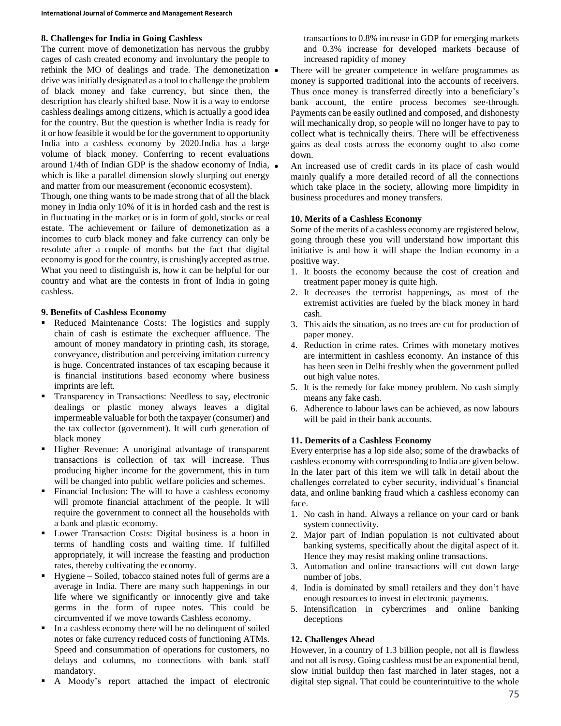## **8. Challenges for India in Going Cashless**

The current move of demonetization has nervous the grubby cages of cash created economy and involuntary the people to rethink the MO of dealings and trade. The demonetization drive was initially designated as a tool to challenge the problem of black money and fake currency, but since then, the description has clearly shifted base. Now it is a way to endorse cashless dealings among citizens, which is actually a good idea for the country. But the question is whether India is ready for it or how feasible it would be for the government to opportunity India into a cashless economy by 2020.India has a large volume of black money. Conferring to recent evaluations around 1/4th of Indian GDP is the shadow economy of India, which is like a parallel dimension slowly slurping out energy and matter from our measurement (economic ecosystem).

Though, one thing wants to be made strong that of all the black money in India only 10% of it is in horded cash and the rest is in fluctuating in the market or is in form of gold, stocks or real estate. The achievement or failure of demonetization as a incomes to curb black money and fake currency can only be resolute after a couple of months but the fact that digital economy is good for the country, is crushingly accepted as true. What you need to distinguish is, how it can be helpful for our country and what are the contests in front of India in going cashless.

### **9. Benefits of Cashless Economy**

- Reduced Maintenance Costs: The logistics and supply chain of cash is estimate the exchequer affluence. The amount of money mandatory in printing cash, its storage, conveyance, distribution and perceiving imitation currency is huge. Concentrated instances of tax escaping because it is financial institutions based economy where business imprints are left.
- Transparency in Transactions: Needless to say, electronic dealings or plastic money always leaves a digital impermeable valuable for both the taxpayer (consumer) and the tax collector (government). It will curb generation of black money
- Higher Revenue: A unoriginal advantage of transparent transactions is collection of tax will increase. Thus producing higher income for the government, this in turn will be changed into public welfare policies and schemes.
- Financial Inclusion: The will to have a cashless economy will promote financial attachment of the people. It will require the government to connect all the households with a bank and plastic economy.
- Lower Transaction Costs: Digital business is a boon in terms of handling costs and waiting time. If fulfilled appropriately, it will increase the feasting and production rates, thereby cultivating the economy.
- Hygiene Soiled, tobacco stained notes full of germs are a average in India. There are many such happenings in our life where we significantly or innocently give and take germs in the form of rupee notes. This could be circumvented if we move towards Cashless economy.
- In a cashless economy there will be no delinquent of soiled notes or fake currency reduced costs of functioning ATMs. Speed and consummation of operations for customers, no delays and columns, no connections with bank staff mandatory.
- A Moody's report attached the impact of electronic

transactions to 0.8% increase in GDP for emerging markets and 0.3% increase for developed markets because of increased rapidity of money

 There will be greater competence in welfare programmes as money is supported traditional into the accounts of receivers. Thus once money is transferred directly into a beneficiary's bank account, the entire process becomes see-through. Payments can be easily outlined and composed, and dishonesty will mechanically drop, so people will no longer have to pay to collect what is technically theirs. There will be effectiveness gains as deal costs across the economy ought to also come down.

 An increased use of credit cards in its place of cash would mainly qualify a more detailed record of all the connections which take place in the society, allowing more limpidity in business procedures and money transfers.

## **10. Merits of a Cashless Economy**

Some of the merits of a cashless economy are registered below, going through these you will understand how important this initiative is and how it will shape the Indian economy in a positive way.

- 1. It boosts the economy because the cost of creation and treatment paper money is quite high.
- 2. It decreases the terrorist happenings, as most of the extremist activities are fueled by the black money in hard cash.
- 3. This aids the situation, as no trees are cut for production of paper money.
- 4. Reduction in crime rates. Crimes with monetary motives are intermittent in cashless economy. An instance of this has been seen in Delhi freshly when the government pulled out high value notes.
- 5. It is the remedy for fake money problem. No cash simply means any fake cash.
- 6. Adherence to labour laws can be achieved, as now labours will be paid in their bank accounts.

## **11. Demerits of a Cashless Economy**

Every enterprise has a lop side also; some of the drawbacks of cashless economy with corresponding to India are given below. In the later part of this item we will talk in detail about the challenges correlated to cyber security, individual's financial data, and online banking fraud which a cashless economy can face.

- 1. No cash in hand. Always a reliance on your card or bank system connectivity.
- 2. Major part of Indian population is not cultivated about banking systems, specifically about the digital aspect of it. Hence they may resist making online transactions.
- 3. Automation and online transactions will cut down large number of jobs.
- 4. India is dominated by small retailers and they don't have enough resources to invest in electronic payments.
- 5. Intensification in cybercrimes and online banking deceptions

## **12. Challenges Ahead**

However, in a country of 1.3 billion people, not all is flawless and not all is rosy. Going cashless must be an exponential bend, slow initial buildup then fast marched in later stages, not a digital step signal. That could be counterintuitive to the whole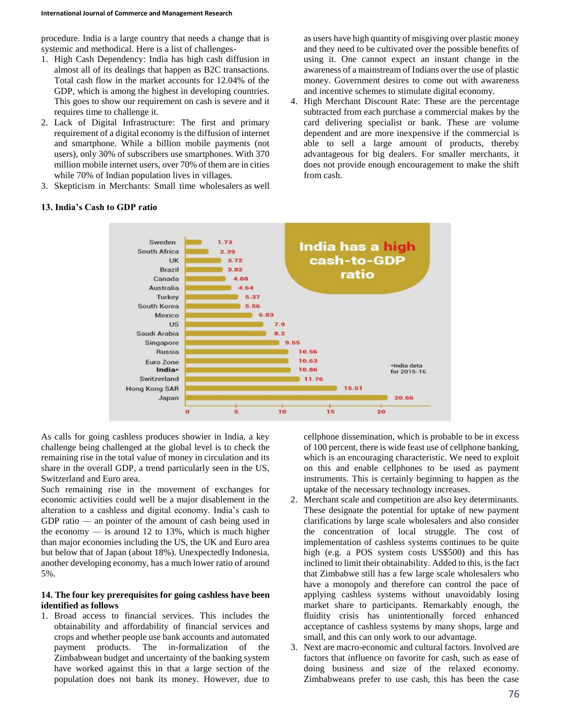procedure. India is a large country that needs a change that is systemic and methodical. Here is a list of challenges-

- 1. High Cash Dependency: India has high cash diffusion in almost all of its dealings that happen as B2C transactions. Total cash flow in the market accounts for 12.04% of the GDP, which is among the highest in developing countries. This goes to show our requirement on cash is severe and it requires time to challenge it.
- 2. Lack of Digital Infrastructure: The first and primary requirement of a digital economy is the diffusion of internet and smartphone. While a billion mobile payments (not users), only 30% of subscribers use smartphones. With 370 million mobile internet users, over 70% of them are in cities while 70% of Indian population lives in villages.
- 3. Skepticism in Merchants: Small time wholesalers as well

as users have high quantity of misgiving over plastic money and they need to be cultivated over the possible benefits of using it. One cannot expect an instant change in the awareness of a mainstream of Indians over the use of plastic money. Government desires to come out with awareness and incentive schemes to stimulate digital economy.

4. High Merchant Discount Rate: These are the percentage subtracted from each purchase a commercial makes by the card delivering specialist or bank. These are volume dependent and are more inexpensive if the commercial is able to sell a large amount of products, thereby advantageous for big dealers. For smaller merchants, it does not provide enough encouragement to make the shift from cash.



#### **13. India's Cash to GDP ratio**

As calls for going cashless produces showier in India, a key challenge being challenged at the global level is to check the remaining rise in the total value of money in circulation and its share in the overall GDP, a trend particularly seen in the US, Switzerland and Euro area.

Such remaining rise in the movement of exchanges for economic activities could well be a major disablement in the alteration to a cashless and digital economy. India's cash to GDP ratio — an pointer of the amount of cash being used in the economy  $-$  is around 12 to 13%, which is much higher than major economies including the US, the UK and Euro area but below that of Japan (about 18%). Unexpectedly Indonesia, another developing economy, has a much lower ratio of around 5%.

#### **14. The four key prerequisites for going cashless have been identified as follows**

1. Broad access to financial services. This includes the obtainability and affordability of financial services and crops and whether people use bank accounts and automated payment products. The in-formalization of the Zimbabwean budget and uncertainty of the banking system have worked against this in that a large section of the population does not bank its money. However, due to

cellphone dissemination, which is probable to be in excess of 100 percent, there is wide feast use of cellphone banking, which is an encouraging characteristic. We need to exploit on this and enable cellphones to be used as payment instruments. This is certainly beginning to happen as the uptake of the necessary technology increases.

- 2. Merchant scale and competition are also key determinants. These designate the potential for uptake of new payment clarifications by large scale wholesalers and also consider the concentration of local struggle. The cost of implementation of cashless systems continues to be quite high (e.g. a POS system costs US\$500) and this has inclined to limit their obtainability. Added to this, is the fact that Zimbabwe still has a few large scale wholesalers who have a monopoly and therefore can control the pace of applying cashless systems without unavoidably losing market share to participants. Remarkably enough, the fluidity crisis has unintentionally forced enhanced acceptance of cashless systems by many shops, large and small, and this can only work to our advantage.
- 3. Next are macro-economic and cultural factors. Involved are factors that influence on favorite for cash, such as ease of doing business and size of the relaxed economy. Zimbabweans prefer to use cash, this has been the case